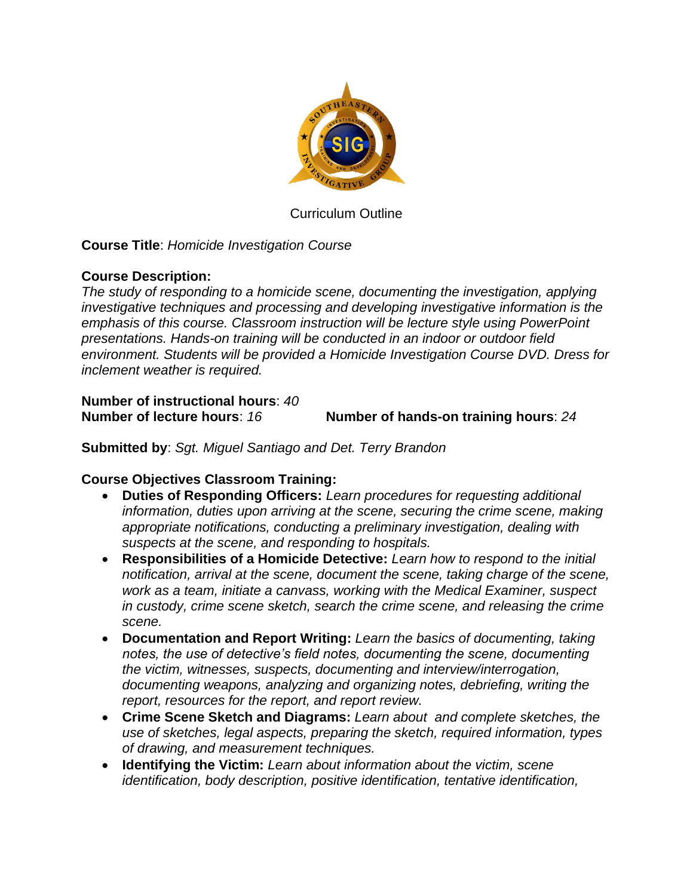

Curriculum Outline

## **Course Title**: *Homicide Investigation Course*

## **Course Description:**

*The study of responding to a homicide scene, documenting the investigation, applying investigative techniques and processing and developing investigative information is the emphasis of this course. Classroom instruction will be lecture style using PowerPoint presentations. Hands-on training will be conducted in an indoor or outdoor field environment. Students will be provided a Homicide Investigation Course DVD. Dress for inclement weather is required.*

### **Number of instructional hours**: *40* **Number of lecture hours**: *16* **Number of hands-on training hours**: *24*

**Submitted by**: *Sgt. Miguel Santiago and Det. Terry Brandon*

## **Course Objectives Classroom Training:**

- **Duties of Responding Officers:** *Learn procedures for requesting additional information, duties upon arriving at the scene, securing the crime scene, making appropriate notifications, conducting a preliminary investigation, dealing with suspects at the scene, and responding to hospitals.*
- **Responsibilities of a Homicide Detective:** *Learn how to respond to the initial notification, arrival at the scene, document the scene, taking charge of the scene, work as a team, initiate a canvass, working with the Medical Examiner, suspect in custody, crime scene sketch, search the crime scene, and releasing the crime scene.*
- **Documentation and Report Writing:** *Learn the basics of documenting, taking notes, the use of detective's field notes, documenting the scene, documenting the victim, witnesses, suspects, documenting and interview/interrogation, documenting weapons, analyzing and organizing notes, debriefing, writing the report, resources for the report, and report review.*
- **Crime Scene Sketch and Diagrams:** *Learn about and complete sketches, the use of sketches, legal aspects, preparing the sketch, required information, types of drawing, and measurement techniques.*
- **Identifying the Victim:** *Learn about information about the victim, scene identification, body description, positive identification, tentative identification,*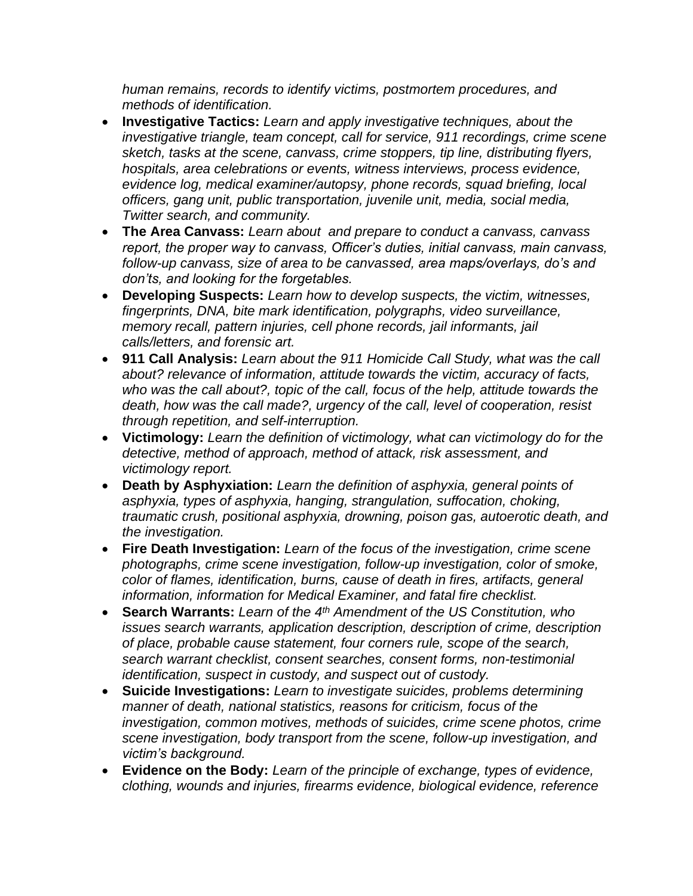*human remains, records to identify victims, postmortem procedures, and methods of identification.*

- **Investigative Tactics:** *Learn and apply investigative techniques, about the investigative triangle, team concept, call for service, 911 recordings, crime scene sketch, tasks at the scene, canvass, crime stoppers, tip line, distributing flyers, hospitals, area celebrations or events, witness interviews, process evidence, evidence log, medical examiner/autopsy, phone records, squad briefing, local officers, gang unit, public transportation, juvenile unit, media, social media, Twitter search, and community.*
- **The Area Canvass:** *Learn about and prepare to conduct a canvass, canvass report, the proper way to canvass, Officer's duties, initial canvass, main canvass, follow-up canvass, size of area to be canvassed, area maps/overlays, do's and don'ts, and looking for the forgetables.*
- **Developing Suspects:** *Learn how to develop suspects, the victim, witnesses, fingerprints, DNA, bite mark identification, polygraphs, video surveillance, memory recall, pattern injuries, cell phone records, jail informants, jail calls/letters, and forensic art.*
- **911 Call Analysis:** *Learn about the 911 Homicide Call Study, what was the call about? relevance of information, attitude towards the victim, accuracy of facts, who was the call about?, topic of the call, focus of the help, attitude towards the death, how was the call made?, urgency of the call, level of cooperation, resist through repetition, and self-interruption.*
- **Victimology:** *Learn the definition of victimology, what can victimology do for the detective, method of approach, method of attack, risk assessment, and victimology report.*
- **Death by Asphyxiation:** *Learn the definition of asphyxia, general points of asphyxia, types of asphyxia, hanging, strangulation, suffocation, choking, traumatic crush, positional asphyxia, drowning, poison gas, autoerotic death, and the investigation.*
- **Fire Death Investigation:** *Learn of the focus of the investigation, crime scene photographs, crime scene investigation, follow-up investigation, color of smoke, color of flames, identification, burns, cause of death in fires, artifacts, general information, information for Medical Examiner, and fatal fire checklist.*
- **Search Warrants:** *Learn of the 4 th Amendment of the US Constitution, who issues search warrants, application description, description of crime, description of place, probable cause statement, four corners rule, scope of the search, search warrant checklist, consent searches, consent forms, non-testimonial identification, suspect in custody, and suspect out of custody.*
- **Suicide Investigations:** *Learn to investigate suicides, problems determining manner of death, national statistics, reasons for criticism, focus of the investigation, common motives, methods of suicides, crime scene photos, crime scene investigation, body transport from the scene, follow-up investigation, and victim's background.*
- **Evidence on the Body:** *Learn of the principle of exchange, types of evidence, clothing, wounds and injuries, firearms evidence, biological evidence, reference*